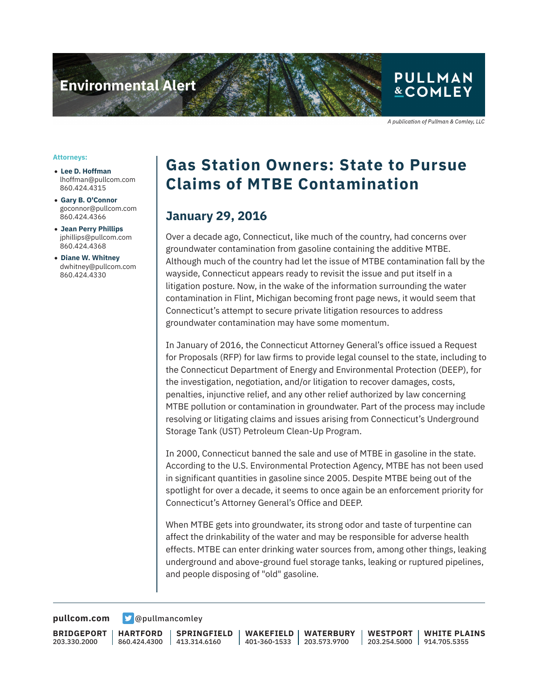

A publication of Pullman & Comley, LLC

#### **Attorneys:**

- **Lee D. Hoffman** lhoffman@pullcom.com 860.424.4315
- **Gary B. O'Connor** goconnor@pullcom.com 860.424.4366
- **Jean Perry Phillips** jphillips@pullcom.com 860.424.4368
- **Diane W. Whitney** dwhitney@pullcom.com 860.424.4330

## **Gas Station Owners: State to Pursue Claims of MTBE Contamination**

### **January 29, 2016**

Over a decade ago, Connecticut, like much of the country, had concerns over groundwater contamination from gasoline containing the additive MTBE. Although much of the country had let the issue of MTBE contamination fall by the wayside, Connecticut appears ready to revisit the issue and put itself in a litigation posture. Now, in the wake of the information surrounding the water contamination in Flint, Michigan becoming front page news, it would seem that Connecticut's attempt to secure private litigation resources to address groundwater contamination may have some momentum.

In January of 2016, the Connecticut Attorney General's office issued a Request for Proposals (RFP) for law firms to provide legal counsel to the state, including to the Connecticut Department of Energy and Environmental Protection (DEEP), for the investigation, negotiation, and/or litigation to recover damages, costs, penalties, injunctive relief, and any other relief authorized by law concerning MTBE pollution or contamination in groundwater. Part of the process may include resolving or litigating claims and issues arising from Connecticut's Underground Storage Tank (UST) Petroleum Clean-Up Program.

In 2000, Connecticut banned the sale and use of MTBE in gasoline in the state. According to the U.S. Environmental Protection Agency, MTBE has not been used in significant quantities in gasoline since 2005. Despite MTBE being out of the spotlight for over a decade, it seems to once again be an enforcement priority for Connecticut's Attorney General's Office and DEEP.

When MTBE gets into groundwater, its strong odor and taste of turpentine can affect the drinkability of the water and may be responsible for adverse health effects. MTBE can enter drinking water sources from, among other things, leaking underground and above-ground fuel storage tanks, leaking or ruptured pipelines, and people disposing of "old" gasoline.

**[pullcom.com](https://www.pullcom.com) g** [@pullmancomley](https://twitter.com/PullmanComley)

**BRIDGEPORT** 203.330.2000

**HARTFORD**

860.424.4300 413.314.6160 **SPRINGFIELD** **WAKEFIELD** 401-360-1533 203.573.9700 **WATERBURY**

**WESTPORT** 203.254.5000 914.705.5355 **WHITE PLAINS**